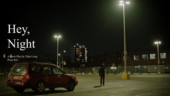# Hey, Night

A short film by Taha Long Press Kit

 $1200$ 

**I** 

mm.

림돌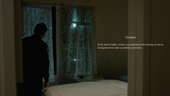# Synopsis

In the dead of night, a lonely cop searching for his missing cat and an immigrant driver make an unlikely connection.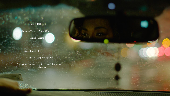## Basic Info

Running Time: 13 min 42 sec

Genre: Drama

Format: HD

Aspect Ratio: 4:3

Language: English, Spanish

Production Country: United States of America, Malaysia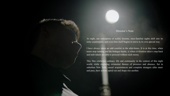## Director's Note

decations)

At night, our conception of reality loosens, once-familiar sights shift into its eerie counterparts, and even time itself begins to move in its own special way.

I have always taken an odd comfort in the after-hours. It is at this time, when trains stop running and the bodegas bustle, is when civilization takes a step back and individuals are able to proceed without such mores.

This film celebrates ordinary life and community in the context of this night world, while exploring existential themes of presence and absence. Set in suburban New York, casual acquaintances and complete strangers alike meet and pass, their actions spiral out and shape one another.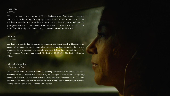### Taha Long *Director*

Taha Long was born and raised in Klang, Malaysia - far from anything remotely associated with filmmaking. Growing up, he would watch movies to past the time, and this interest would only grew as the years went. He was later selected to undertake the prestigious Master's in Film Directing from the School of Visual Arts in New York. His thesis film, "Hey, Night" was shot entirely on location in Brooklyn, New York.

## Jen Kim

#### *Producer*

Jen Kim is a prolific Korean-American producer and writer based in Hoboken, New Jersey. When she's not busy helping other people's bring their stories to life, she is a prominent festival producer. Her portfolio includes; Tribeca Film Festival, Tribeca TV Festival, Asian American International Film Festival, DOC NYC, NewFest and Rooftop Films.

### Alejandro Miyashiro *Cinematographer*

Alejandro Miyashiro is an award-winning cinematographer based in Brooklyn, New York. Growing up on the border of two countries, he developed a keen interest in capturing stories of diversity. He has shot narrative films that have screened in the U.S. and internationally; including but not limited to Festival De Cannes, Denver Film Festival, Montclair Film Festival and Maryland Film Festival.